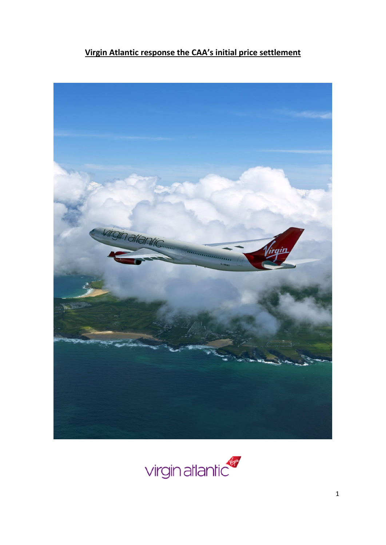# **Virgin Atlantic response the CAA's initial price settlement**



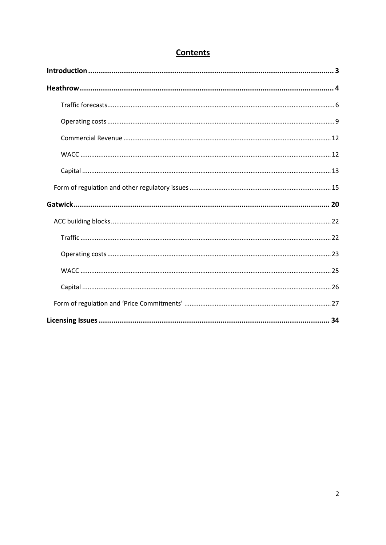## **Contents**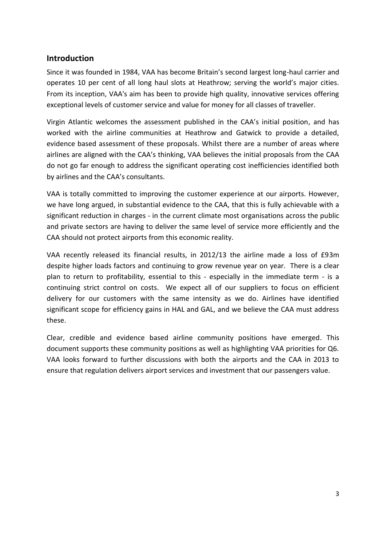## <span id="page-2-0"></span>**Introduction**

Since it was founded in 1984, VAA has become Britain's second largest long-haul carrier and operates 10 per cent of all long haul slots at Heathrow; serving the world's major cities. From its inception, VAA's aim has been to provide high quality, innovative services offering exceptional levels of customer service and value for money for all classes of traveller.

Virgin Atlantic welcomes the assessment published in the CAA's initial position, and has worked with the airline communities at Heathrow and Gatwick to provide a detailed, evidence based assessment of these proposals. Whilst there are a number of areas where airlines are aligned with the CAA's thinking, VAA believes the initial proposals from the CAA do not go far enough to address the significant operating cost inefficiencies identified both by airlines and the CAA's consultants.

VAA is totally committed to improving the customer experience at our airports. However, we have long argued, in substantial evidence to the CAA, that this is fully achievable with a significant reduction in charges - in the current climate most organisations across the public and private sectors are having to deliver the same level of service more efficiently and the CAA should not protect airports from this economic reality.

VAA recently released its financial results, in 2012/13 the airline made a loss of £93m despite higher loads factors and continuing to grow revenue year on year. There is a clear plan to return to profitability, essential to this - especially in the immediate term - is a continuing strict control on costs. We expect all of our suppliers to focus on efficient delivery for our customers with the same intensity as we do. Airlines have identified significant scope for efficiency gains in HAL and GAL, and we believe the CAA must address these.

Clear, credible and evidence based airline community positions have emerged. This document supports these community positions as well as highlighting VAA priorities for Q6. VAA looks forward to further discussions with both the airports and the CAA in 2013 to ensure that regulation delivers airport services and investment that our passengers value.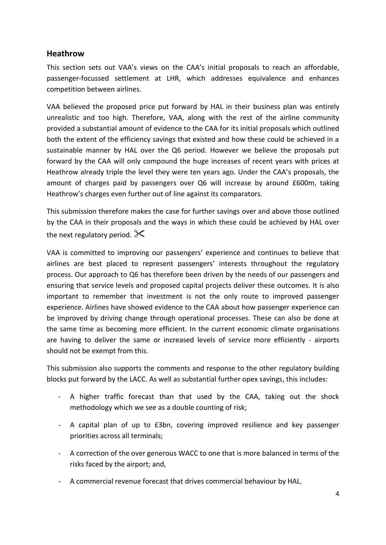## <span id="page-3-0"></span>**Heathrow**

This section sets out VAA's views on the CAA's initial proposals to reach an affordable, passenger-focussed settlement at LHR, which addresses equivalence and enhances competition between airlines.

VAA believed the proposed price put forward by HAL in their business plan was entirely unrealistic and too high. Therefore, VAA, along with the rest of the airline community provided a substantial amount of evidence to the CAA for its initial proposals which outlined both the extent of the efficiency savings that existed and how these could be achieved in a sustainable manner by HAL over the Q6 period. However we believe the proposals put forward by the CAA will only compound the huge increases of recent years with prices at Heathrow already triple the level they were ten years ago. Under the CAA's proposals, the amount of charges paid by passengers over Q6 will increase by around £600m, taking Heathrow's charges even further out of line against its comparators.

This submission therefore makes the case for further savings over and above those outlined by the CAA in their proposals and the ways in which these could be achieved by HAL over the next regulatory period.  $\mathsf{\times}$ 

VAA is committed to improving our passengers' experience and continues to believe that airlines are best placed to represent passengers' interests throughout the regulatory process. Our approach to Q6 has therefore been driven by the needs of our passengers and ensuring that service levels and proposed capital projects deliver these outcomes. It is also important to remember that investment is not the only route to improved passenger experience. Airlines have showed evidence to the CAA about how passenger experience can be improved by driving change through operational processes. These can also be done at the same time as becoming more efficient. In the current economic climate organisations are having to deliver the same or increased levels of service more efficiently - airports should not be exempt from this.

This submission also supports the comments and response to the other regulatory building blocks put forward by the LACC. As well as substantial further opex savings, this includes:

- A higher traffic forecast than that used by the CAA, taking out the shock methodology which we see as a double counting of risk;
- A capital plan of up to £3bn, covering improved resilience and key passenger priorities across all terminals;
- A correction of the over generous WACC to one that is more balanced in terms of the risks faced by the airport; and,
- A commercial revenue forecast that drives commercial behaviour by HAL.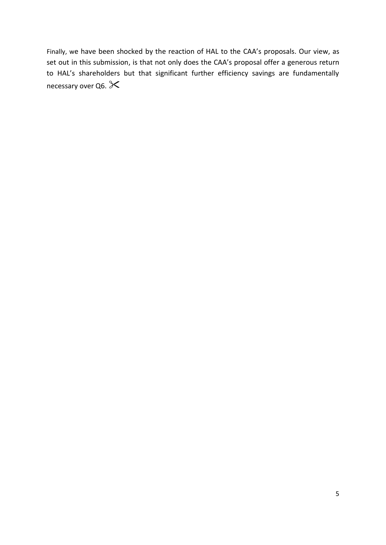Finally, we have been shocked by the reaction of HAL to the CAA's proposals. Our view, as set out in this submission, is that not only does the CAA's proposal offer a generous return to HAL's shareholders but that significant further efficiency savings are fundamentally necessary over Q6.  $\&$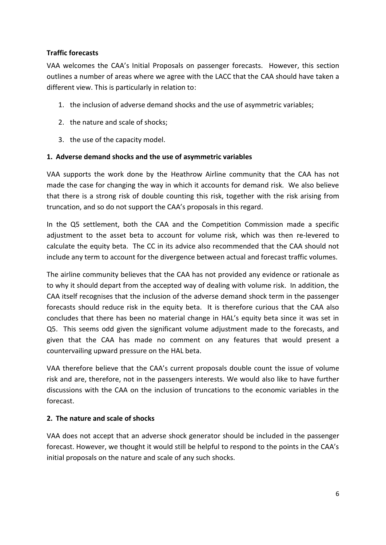## <span id="page-5-0"></span>**Traffic forecasts**

VAA welcomes the CAA's Initial Proposals on passenger forecasts. However, this section outlines a number of areas where we agree with the LACC that the CAA should have taken a different view. This is particularly in relation to:

- 1. the inclusion of adverse demand shocks and the use of asymmetric variables;
- 2. the nature and scale of shocks;
- 3. the use of the capacity model.

### **1. Adverse demand shocks and the use of asymmetric variables**

VAA supports the work done by the Heathrow Airline community that the CAA has not made the case for changing the way in which it accounts for demand risk. We also believe that there is a strong risk of double counting this risk, together with the risk arising from truncation, and so do not support the CAA's proposals in this regard.

In the Q5 settlement, both the CAA and the Competition Commission made a specific adjustment to the asset beta to account for volume risk, which was then re-levered to calculate the equity beta. The CC in its advice also recommended that the CAA should not include any term to account for the divergence between actual and forecast traffic volumes.

The airline community believes that the CAA has not provided any evidence or rationale as to why it should depart from the accepted way of dealing with volume risk. In addition, the CAA itself recognises that the inclusion of the adverse demand shock term in the passenger forecasts should reduce risk in the equity beta. It is therefore curious that the CAA also concludes that there has been no material change in HAL's equity beta since it was set in Q5. This seems odd given the significant volume adjustment made to the forecasts, and given that the CAA has made no comment on any features that would present a countervailing upward pressure on the HAL beta.

VAA therefore believe that the CAA's current proposals double count the issue of volume risk and are, therefore, not in the passengers interests. We would also like to have further discussions with the CAA on the inclusion of truncations to the economic variables in the forecast.

### **2. The nature and scale of shocks**

VAA does not accept that an adverse shock generator should be included in the passenger forecast. However, we thought it would still be helpful to respond to the points in the CAA's initial proposals on the nature and scale of any such shocks.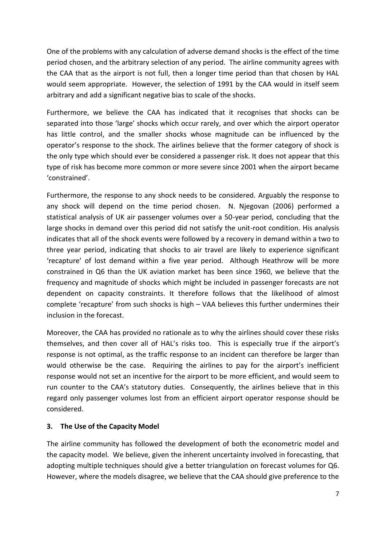One of the problems with any calculation of adverse demand shocks is the effect of the time period chosen, and the arbitrary selection of any period. The airline community agrees with the CAA that as the airport is not full, then a longer time period than that chosen by HAL would seem appropriate. However, the selection of 1991 by the CAA would in itself seem arbitrary and add a significant negative bias to scale of the shocks.

Furthermore, we believe the CAA has indicated that it recognises that shocks can be separated into those 'large' shocks which occur rarely, and over which the airport operator has little control, and the smaller shocks whose magnitude can be influenced by the operator's response to the shock. The airlines believe that the former category of shock is the only type which should ever be considered a passenger risk. It does not appear that this type of risk has become more common or more severe since 2001 when the airport became 'constrained'.

Furthermore, the response to any shock needs to be considered. Arguably the response to any shock will depend on the time period chosen. N. Njegovan (2006) performed a statistical analysis of UK air passenger volumes over a 50-year period, concluding that the large shocks in demand over this period did not satisfy the unit-root condition. His analysis indicates that all of the shock events were followed by a recovery in demand within a two to three year period, indicating that shocks to air travel are likely to experience significant 'recapture' of lost demand within a five year period. Although Heathrow will be more constrained in Q6 than the UK aviation market has been since 1960, we believe that the frequency and magnitude of shocks which might be included in passenger forecasts are not dependent on capacity constraints. It therefore follows that the likelihood of almost complete 'recapture' from such shocks is high – VAA believes this further undermines their inclusion in the forecast.

Moreover, the CAA has provided no rationale as to why the airlines should cover these risks themselves, and then cover all of HAL's risks too. This is especially true if the airport's response is not optimal, as the traffic response to an incident can therefore be larger than would otherwise be the case. Requiring the airlines to pay for the airport's inefficient response would not set an incentive for the airport to be more efficient, and would seem to run counter to the CAA's statutory duties. Consequently, the airlines believe that in this regard only passenger volumes lost from an efficient airport operator response should be considered.

### **3. The Use of the Capacity Model**

The airline community has followed the development of both the econometric model and the capacity model. We believe, given the inherent uncertainty involved in forecasting, that adopting multiple techniques should give a better triangulation on forecast volumes for Q6. However, where the models disagree, we believe that the CAA should give preference to the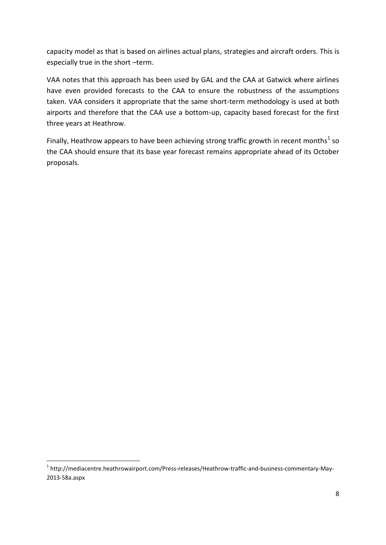capacity model as that is based on airlines actual plans, strategies and aircraft orders. This is especially true in the short –term.

VAA notes that this approach has been used by GAL and the CAA at Gatwick where airlines have even provided forecasts to the CAA to ensure the robustness of the assumptions taken. VAA considers it appropriate that the same short-term methodology is used at both airports and therefore that the CAA use a bottom-up, capacity based forecast for the first three years at Heathrow.

Finally, Heathrow appears to have been achieving strong traffic growth in recent months<sup>1</sup> so the CAA should ensure that its base year forecast remains appropriate ahead of its October proposals.

**.** 

<sup>&</sup>lt;sup>1</sup> http://mediacentre.heathrowairport.com/Press-releases/Heathrow-traffic-and-business-commentary-May-2013-58a.aspx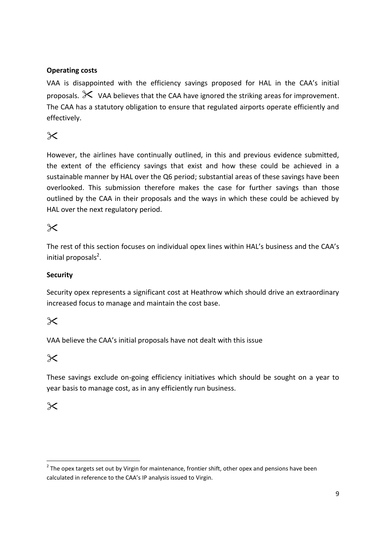## <span id="page-8-0"></span>**Operating costs**

VAA is disappointed with the efficiency savings proposed for HAL in the CAA's initial proposals.  $\mathbb X$  VAA believes that the CAA have ignored the striking areas for improvement. The CAA has a statutory obligation to ensure that regulated airports operate efficiently and effectively.

# $\times$

However, the airlines have continually outlined, in this and previous evidence submitted, the extent of the efficiency savings that exist and how these could be achieved in a sustainable manner by HAL over the Q6 period; substantial areas of these savings have been overlooked. This submission therefore makes the case for further savings than those outlined by the CAA in their proposals and the ways in which these could be achieved by HAL over the next regulatory period.

# $\times$

The rest of this section focuses on individual opex lines within HAL's business and the CAA's initial proposals<sup>2</sup>.

## **Security**

Security opex represents a significant cost at Heathrow which should drive an extraordinary increased focus to manage and maintain the cost base.

# $\times$

VAA believe the CAA's initial proposals have not dealt with this issue

## $\chi$

These savings exclude on-going efficiency initiatives which should be sought on a year to year basis to manage cost, as in any efficiently run business.

# $\times$

**.** 

 $2$  The opex targets set out by Virgin for maintenance, frontier shift, other opex and pensions have been calculated in reference to the CAA's IP analysis issued to Virgin.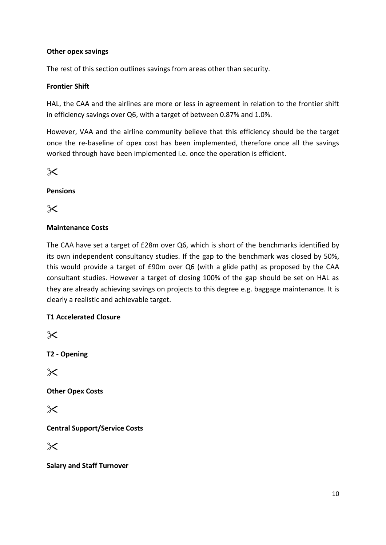### **Other opex savings**

The rest of this section outlines savings from areas other than security.

#### **Frontier Shift**

HAL, the CAA and the airlines are more or less in agreement in relation to the frontier shift in efficiency savings over Q6, with a target of between 0.87% and 1.0%.

However, VAA and the airline community believe that this efficiency should be the target once the re-baseline of opex cost has been implemented, therefore once all the savings worked through have been implemented i.e. once the operation is efficient.

## $\times$

## **Pensions**

 $\times$ 

## **Maintenance Costs**

The CAA have set a target of £28m over Q6, which is short of the benchmarks identified by its own independent consultancy studies. If the gap to the benchmark was closed by 50%, this would provide a target of £90m over Q6 (with a glide path) as proposed by the CAA consultant studies. However a target of closing 100% of the gap should be set on HAL as they are already achieving savings on projects to this degree e.g. baggage maintenance. It is clearly a realistic and achievable target.

## **T1 Accelerated Closure**

 $\times$ 

**T2 - Opening**

 $\times$ 

**Other Opex Costs**

 $\times$ 

**Central Support/Service Costs**

 $\times$ 

**Salary and Staff Turnover**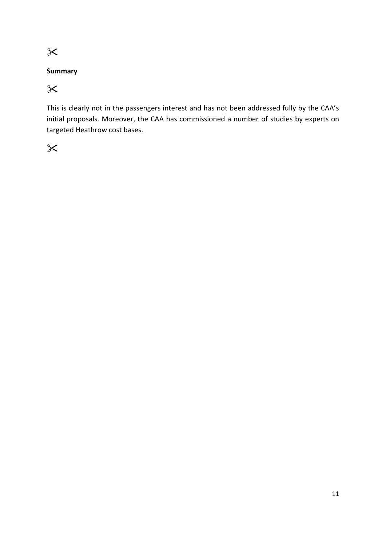## **Summary**

 $\chi$ 

This is clearly not in the passengers interest and has not been addressed fully by the CAA's initial proposals. Moreover, the CAA has commissioned a number of studies by experts on targeted Heathrow cost bases.

 $\chi$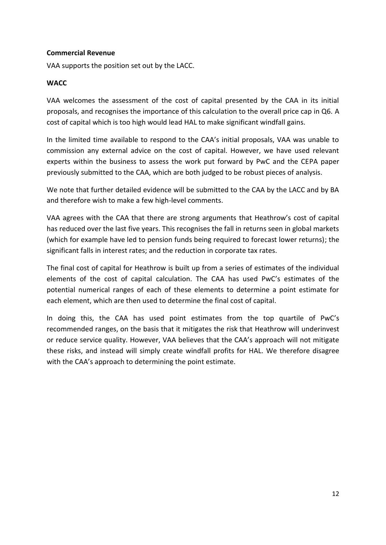#### <span id="page-11-0"></span>**Commercial Revenue**

VAA supports the position set out by the LACC.

#### <span id="page-11-1"></span>**WACC**

VAA welcomes the assessment of the cost of capital presented by the CAA in its initial proposals, and recognises the importance of this calculation to the overall price cap in Q6. A cost of capital which is too high would lead HAL to make significant windfall gains.

In the limited time available to respond to the CAA's initial proposals, VAA was unable to commission any external advice on the cost of capital. However, we have used relevant experts within the business to assess the work put forward by PwC and the CEPA paper previously submitted to the CAA, which are both judged to be robust pieces of analysis.

We note that further detailed evidence will be submitted to the CAA by the LACC and by BA and therefore wish to make a few high-level comments.

VAA agrees with the CAA that there are strong arguments that Heathrow's cost of capital has reduced over the last five years. This recognises the fall in returns seen in global markets (which for example have led to pension funds being required to forecast lower returns); the significant falls in interest rates; and the reduction in corporate tax rates.

The final cost of capital for Heathrow is built up from a series of estimates of the individual elements of the cost of capital calculation. The CAA has used PwC's estimates of the potential numerical ranges of each of these elements to determine a point estimate for each element, which are then used to determine the final cost of capital.

In doing this, the CAA has used point estimates from the top quartile of PwC's recommended ranges, on the basis that it mitigates the risk that Heathrow will underinvest or reduce service quality. However, VAA believes that the CAA's approach will not mitigate these risks, and instead will simply create windfall profits for HAL. We therefore disagree with the CAA's approach to determining the point estimate.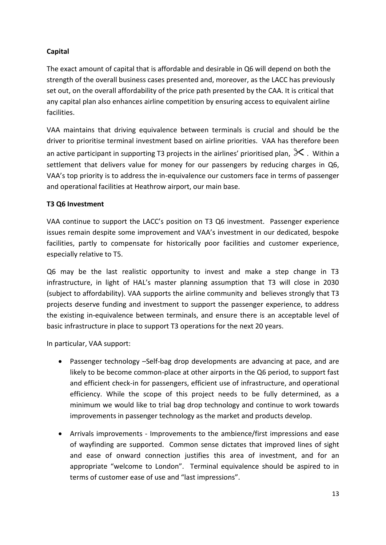## <span id="page-12-0"></span>**Capital**

The exact amount of capital that is affordable and desirable in Q6 will depend on both the strength of the overall business cases presented and, moreover, as the LACC has previously set out, on the overall affordability of the price path presented by the CAA. It is critical that any capital plan also enhances airline competition by ensuring access to equivalent airline facilities.

VAA maintains that driving equivalence between terminals is crucial and should be the driver to prioritise terminal investment based on airline priorities. VAA has therefore been an active participant in supporting T3 projects in the airlines' prioritised plan,  $\mathbb X$  . Within a settlement that delivers value for money for our passengers by reducing charges in Q6, VAA's top priority is to address the in-equivalence our customers face in terms of passenger and operational facilities at Heathrow airport, our main base.

### **T3 Q6 Investment**

VAA continue to support the LACC's position on T3 Q6 investment. Passenger experience issues remain despite some improvement and VAA's investment in our dedicated, bespoke facilities, partly to compensate for historically poor facilities and customer experience, especially relative to T5.

Q6 may be the last realistic opportunity to invest and make a step change in T3 infrastructure, in light of HAL's master planning assumption that T3 will close in 2030 (subject to affordability). VAA supports the airline community and believes strongly that T3 projects deserve funding and investment to support the passenger experience, to address the existing in-equivalence between terminals, and ensure there is an acceptable level of basic infrastructure in place to support T3 operations for the next 20 years.

In particular, VAA support:

- Passenger technology –Self-bag drop developments are advancing at pace, and are likely to be become common-place at other airports in the Q6 period, to support fast and efficient check-in for passengers, efficient use of infrastructure, and operational efficiency. While the scope of this project needs to be fully determined, as a minimum we would like to trial bag drop technology and continue to work towards improvements in passenger technology as the market and products develop.
- Arrivals improvements Improvements to the ambience/first impressions and ease of wayfinding are supported. Common sense dictates that improved lines of sight and ease of onward connection justifies this area of investment, and for an appropriate "welcome to London". Terminal equivalence should be aspired to in terms of customer ease of use and "last impressions".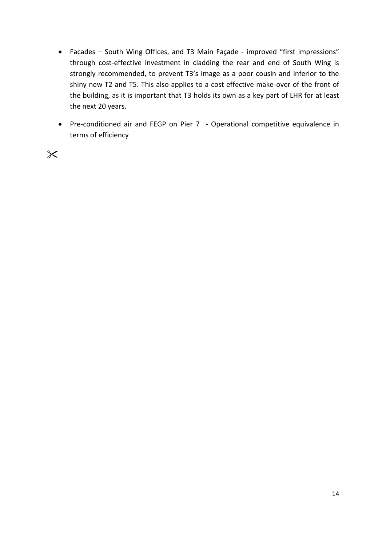- Facades South Wing Offices, and T3 Main Façade improved "first impressions" through cost-effective investment in cladding the rear and end of South Wing is strongly recommended, to prevent T3's image as a poor cousin and inferior to the shiny new T2 and T5. This also applies to a cost effective make-over of the front of the building, as it is important that T3 holds its own as a key part of LHR for at least the next 20 years.
- Pre-conditioned air and FEGP on Pier 7 Operational competitive equivalence in terms of efficiency

 $\chi$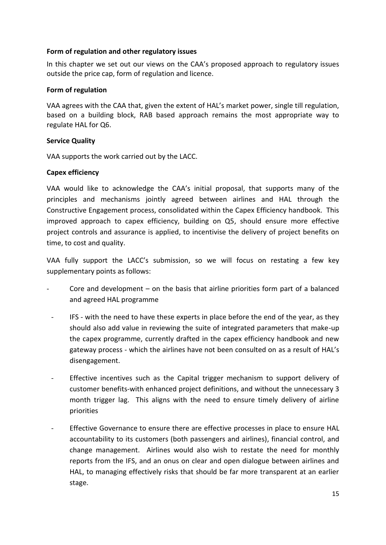#### <span id="page-14-0"></span>**Form of regulation and other regulatory issues**

In this chapter we set out our views on the CAA's proposed approach to regulatory issues outside the price cap, form of regulation and licence.

#### **Form of regulation**

VAA agrees with the CAA that, given the extent of HAL's market power, single till regulation, based on a building block, RAB based approach remains the most appropriate way to regulate HAL for Q6.

#### **Service Quality**

VAA supports the work carried out by the LACC.

#### **Capex efficiency**

VAA would like to acknowledge the CAA's initial proposal, that supports many of the principles and mechanisms jointly agreed between airlines and HAL through the Constructive Engagement process, consolidated within the Capex Efficiency handbook. This improved approach to capex efficiency, building on Q5, should ensure more effective project controls and assurance is applied, to incentivise the delivery of project benefits on time, to cost and quality.

VAA fully support the LACC's submission, so we will focus on restating a few key supplementary points as follows:

- Core and development on the basis that airline priorities form part of a balanced and agreed HAL programme
- IFS with the need to have these experts in place before the end of the year, as they should also add value in reviewing the suite of integrated parameters that make-up the capex programme, currently drafted in the capex efficiency handbook and new gateway process - which the airlines have not been consulted on as a result of HAL's disengagement.
- Effective incentives such as the Capital trigger mechanism to support delivery of customer benefits-with enhanced project definitions, and without the unnecessary 3 month trigger lag. This aligns with the need to ensure timely delivery of airline priorities
- Effective Governance to ensure there are effective processes in place to ensure HAL accountability to its customers (both passengers and airlines), financial control, and change management. Airlines would also wish to restate the need for monthly reports from the IFS, and an onus on clear and open dialogue between airlines and HAL, to managing effectively risks that should be far more transparent at an earlier stage.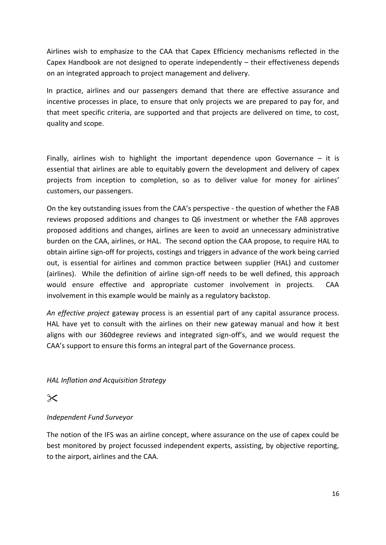Airlines wish to emphasize to the CAA that Capex Efficiency mechanisms reflected in the Capex Handbook are not designed to operate independently  $-$  their effectiveness depends on an integrated approach to project management and delivery.

In practice, airlines and our passengers demand that there are effective assurance and incentive processes in place, to ensure that only projects we are prepared to pay for, and that meet specific criteria, are supported and that projects are delivered on time, to cost, quality and scope.

Finally, airlines wish to highlight the important dependence upon Governance  $-$  it is essential that airlines are able to equitably govern the development and delivery of capex projects from inception to completion, so as to deliver value for money for airlines' customers, our passengers.

On the key outstanding issues from the CAA's perspective - the question of whether the FAB reviews proposed additions and changes to Q6 investment or whether the FAB approves proposed additions and changes, airlines are keen to avoid an unnecessary administrative burden on the CAA, airlines, or HAL. The second option the CAA propose, to require HAL to obtain airline sign-off for projects, costings and triggers in advance of the work being carried out, is essential for airlines and common practice between supplier (HAL) and customer (airlines). While the definition of airline sign-off needs to be well defined, this approach would ensure effective and appropriate customer involvement in projects. CAA involvement in this example would be mainly as a regulatory backstop.

*An effective project* gateway process is an essential part of any capital assurance process. HAL have yet to consult with the airlines on their new gateway manual and how it best aligns with our 360degree reviews and integrated sign-off's, and we would request the CAA's support to ensure this forms an integral part of the Governance process.

*HAL Inflation and Acquisition Strategy*

# $\times$

## *Independent Fund Surveyor*

The notion of the IFS was an airline concept, where assurance on the use of capex could be best monitored by project focussed independent experts, assisting, by objective reporting, to the airport, airlines and the CAA.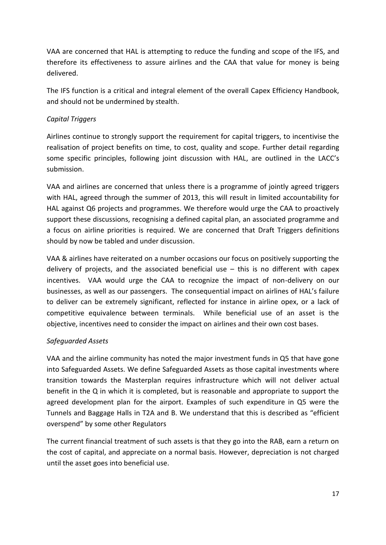VAA are concerned that HAL is attempting to reduce the funding and scope of the IFS, and therefore its effectiveness to assure airlines and the CAA that value for money is being delivered.

The IFS function is a critical and integral element of the overall Capex Efficiency Handbook, and should not be undermined by stealth.

### *Capital Triggers*

Airlines continue to strongly support the requirement for capital triggers, to incentivise the realisation of project benefits on time, to cost, quality and scope. Further detail regarding some specific principles, following joint discussion with HAL, are outlined in the LACC's submission.

VAA and airlines are concerned that unless there is a programme of jointly agreed triggers with HAL, agreed through the summer of 2013, this will result in limited accountability for HAL against Q6 projects and programmes. We therefore would urge the CAA to proactively support these discussions, recognising a defined capital plan, an associated programme and a focus on airline priorities is required. We are concerned that Draft Triggers definitions should by now be tabled and under discussion.

VAA & airlines have reiterated on a number occasions our focus on positively supporting the delivery of projects, and the associated beneficial use  $-$  this is no different with capex incentives. VAA would urge the CAA to recognize the impact of non-delivery on our businesses, as well as our passengers. The consequential impact on airlines of HAL's failure to deliver can be extremely significant, reflected for instance in airline opex, or a lack of competitive equivalence between terminals. While beneficial use of an asset is the objective, incentives need to consider the impact on airlines and their own cost bases.

### *Safeguarded Assets*

VAA and the airline community has noted the major investment funds in Q5 that have gone into Safeguarded Assets. We define Safeguarded Assets as those capital investments where transition towards the Masterplan requires infrastructure which will not deliver actual benefit in the Q in which it is completed, but is reasonable and appropriate to support the agreed development plan for the airport. Examples of such expenditure in Q5 were the Tunnels and Baggage Halls in T2A and B. We understand that this is described as "efficient overspend" by some other Regulators

The current financial treatment of such assets is that they go into the RAB, earn a return on the cost of capital, and appreciate on a normal basis. However, depreciation is not charged until the asset goes into beneficial use.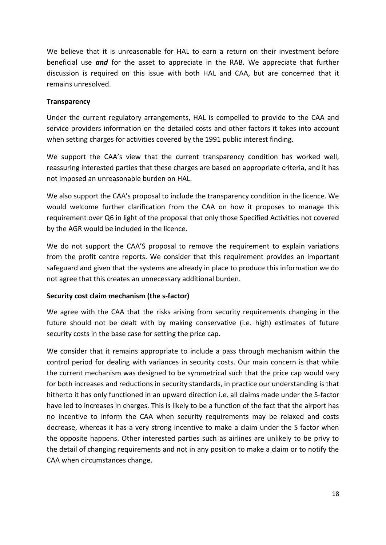We believe that it is unreasonable for HAL to earn a return on their investment before beneficial use *and* for the asset to appreciate in the RAB. We appreciate that further discussion is required on this issue with both HAL and CAA, but are concerned that it remains unresolved.

### **Transparency**

Under the current regulatory arrangements, HAL is compelled to provide to the CAA and service providers information on the detailed costs and other factors it takes into account when setting charges for activities covered by the 1991 public interest finding.

We support the CAA's view that the current transparency condition has worked well, reassuring interested parties that these charges are based on appropriate criteria, and it has not imposed an unreasonable burden on HAL.

We also support the CAA's proposal to include the transparency condition in the licence. We would welcome further clarification from the CAA on how it proposes to manage this requirement over Q6 in light of the proposal that only those Specified Activities not covered by the AGR would be included in the licence.

We do not support the CAA'S proposal to remove the requirement to explain variations from the profit centre reports. We consider that this requirement provides an important safeguard and given that the systems are already in place to produce this information we do not agree that this creates an unnecessary additional burden.

### **Security cost claim mechanism (the s-factor)**

We agree with the CAA that the risks arising from security requirements changing in the future should not be dealt with by making conservative (i.e. high) estimates of future security costs in the base case for setting the price cap.

We consider that it remains appropriate to include a pass through mechanism within the control period for dealing with variances in security costs. Our main concern is that while the current mechanism was designed to be symmetrical such that the price cap would vary for both increases and reductions in security standards, in practice our understanding is that hitherto it has only functioned in an upward direction i.e. all claims made under the S-factor have led to increases in charges. This is likely to be a function of the fact that the airport has no incentive to inform the CAA when security requirements may be relaxed and costs decrease, whereas it has a very strong incentive to make a claim under the S factor when the opposite happens. Other interested parties such as airlines are unlikely to be privy to the detail of changing requirements and not in any position to make a claim or to notify the CAA when circumstances change.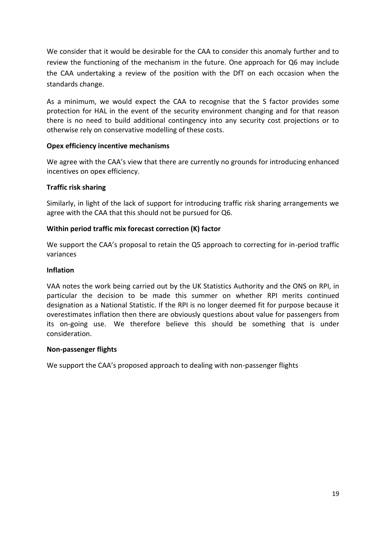We consider that it would be desirable for the CAA to consider this anomaly further and to review the functioning of the mechanism in the future. One approach for Q6 may include the CAA undertaking a review of the position with the DfT on each occasion when the standards change.

As a minimum, we would expect the CAA to recognise that the S factor provides some protection for HAL in the event of the security environment changing and for that reason there is no need to build additional contingency into any security cost projections or to otherwise rely on conservative modelling of these costs.

#### **Opex efficiency incentive mechanisms**

We agree with the CAA's view that there are currently no grounds for introducing enhanced incentives on opex efficiency.

#### **Traffic risk sharing**

Similarly, in light of the lack of support for introducing traffic risk sharing arrangements we agree with the CAA that this should not be pursued for Q6.

#### **Within period traffic mix forecast correction (K) factor**

We support the CAA's proposal to retain the Q5 approach to correcting for in-period traffic variances

#### **Inflation**

VAA notes the work being carried out by the UK Statistics Authority and the ONS on RPI, in particular the decision to be made this summer on whether RPI merits continued designation as a National Statistic. If the RPI is no longer deemed fit for purpose because it overestimates inflation then there are obviously questions about value for passengers from its on-going use. We therefore believe this should be something that is under consideration.

#### **Non-passenger flights**

We support the CAA's proposed approach to dealing with non-passenger flights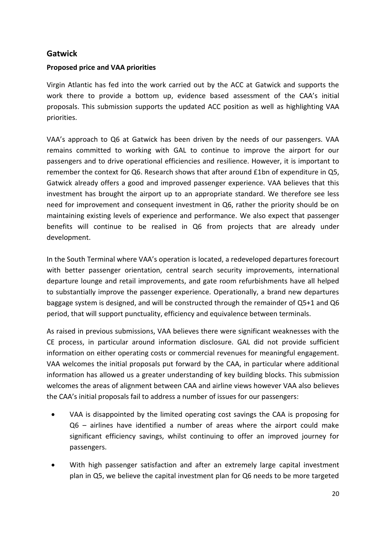## <span id="page-19-0"></span>**Gatwick**

#### **Proposed price and VAA priorities**

Virgin Atlantic has fed into the work carried out by the ACC at Gatwick and supports the work there to provide a bottom up, evidence based assessment of the CAA's initial proposals. This submission supports the updated ACC position as well as highlighting VAA priorities.

VAA's approach to Q6 at Gatwick has been driven by the needs of our passengers. VAA remains committed to working with GAL to continue to improve the airport for our passengers and to drive operational efficiencies and resilience. However, it is important to remember the context for Q6. Research shows that after around £1bn of expenditure in Q5, Gatwick already offers a good and improved passenger experience. VAA believes that this investment has brought the airport up to an appropriate standard. We therefore see less need for improvement and consequent investment in Q6, rather the priority should be on maintaining existing levels of experience and performance. We also expect that passenger benefits will continue to be realised in Q6 from projects that are already under development.

In the South Terminal where VAA's operation is located, a redeveloped departures forecourt with better passenger orientation, central search security improvements, international departure lounge and retail improvements, and gate room refurbishments have all helped to substantially improve the passenger experience. Operationally, a brand new departures baggage system is designed, and will be constructed through the remainder of Q5+1 and Q6 period, that will support punctuality, efficiency and equivalence between terminals.

As raised in previous submissions, VAA believes there were significant weaknesses with the CE process, in particular around information disclosure. GAL did not provide sufficient information on either operating costs or commercial revenues for meaningful engagement. VAA welcomes the initial proposals put forward by the CAA, in particular where additional information has allowed us a greater understanding of key building blocks. This submission welcomes the areas of alignment between CAA and airline views however VAA also believes the CAA's initial proposals fail to address a number of issues for our passengers:

- VAA is disappointed by the limited operating cost savings the CAA is proposing for Q6 – airlines have identified a number of areas where the airport could make significant efficiency savings, whilst continuing to offer an improved journey for passengers.
- With high passenger satisfaction and after an extremely large capital investment plan in Q5, we believe the capital investment plan for Q6 needs to be more targeted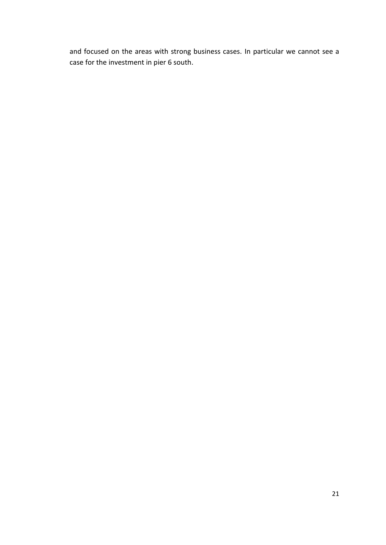and focused on the areas with strong business cases. In particular we cannot see a case for the investment in pier 6 south.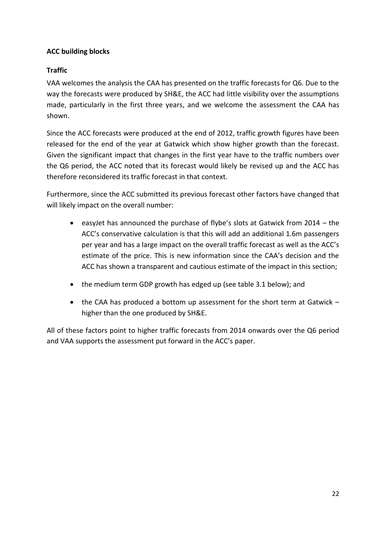## <span id="page-21-0"></span>**ACC building blocks**

## <span id="page-21-1"></span>**Traffic**

VAA welcomes the analysis the CAA has presented on the traffic forecasts for Q6. Due to the way the forecasts were produced by SH&E, the ACC had little visibility over the assumptions made, particularly in the first three years, and we welcome the assessment the CAA has shown.

Since the ACC forecasts were produced at the end of 2012, traffic growth figures have been released for the end of the year at Gatwick which show higher growth than the forecast. Given the significant impact that changes in the first year have to the traffic numbers over the Q6 period, the ACC noted that its forecast would likely be revised up and the ACC has therefore reconsidered its traffic forecast in that context.

Furthermore, since the ACC submitted its previous forecast other factors have changed that will likely impact on the overall number:

- easyJet has announced the purchase of flybe's slots at Gatwick from 2014 the ACC's conservative calculation is that this will add an additional 1.6m passengers per year and has a large impact on the overall traffic forecast as well as the ACC's estimate of the price. This is new information since the CAA's decision and the ACC has shown a transparent and cautious estimate of the impact in this section;
- the medium term GDP growth has edged up (see table 3.1 below); and
- the CAA has produced a bottom up assessment for the short term at Gatwick higher than the one produced by SH&E.

All of these factors point to higher traffic forecasts from 2014 onwards over the Q6 period and VAA supports the assessment put forward in the ACC's paper.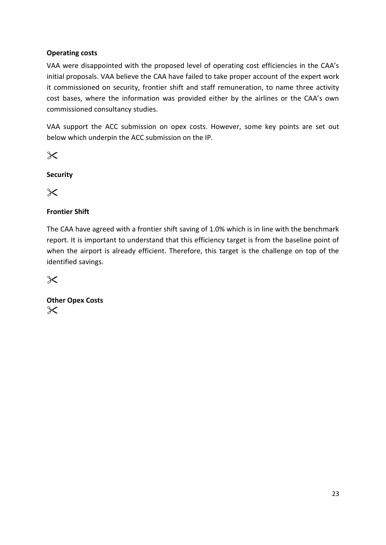## <span id="page-22-0"></span>**Operating costs**

VAA were disappointed with the proposed level of operating cost efficiencies in the CAA's initial proposals. VAA believe the CAA have failed to take proper account of the expert work it commissioned on security, frontier shift and staff remuneration, to name three activity cost bases, where the information was provided either by the airlines or the CAA's own commissioned consultancy studies.

VAA support the ACC submission on opex costs. However, some key points are set out below which underpin the ACC submission on the IP.

 $\times$ 

**Security** 

 $\times$ 

## **Frontier Shift**

The CAA have agreed with a frontier shift saving of 1.0% which is in line with the benchmark report. It is important to understand that this efficiency target is from the baseline point of when the airport is already efficient. Therefore, this target is the challenge on top of the identified savings.

 $\chi$ 

**Other Opex Costs**  $\times$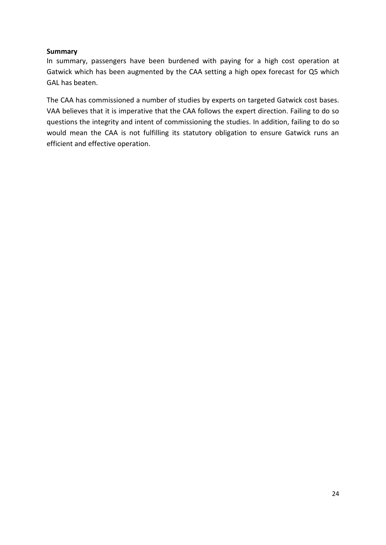#### **Summary**

In summary, passengers have been burdened with paying for a high cost operation at Gatwick which has been augmented by the CAA setting a high opex forecast for Q5 which GAL has beaten.

The CAA has commissioned a number of studies by experts on targeted Gatwick cost bases. VAA believes that it is imperative that the CAA follows the expert direction. Failing to do so questions the integrity and intent of commissioning the studies. In addition, failing to do so would mean the CAA is not fulfilling its statutory obligation to ensure Gatwick runs an efficient and effective operation.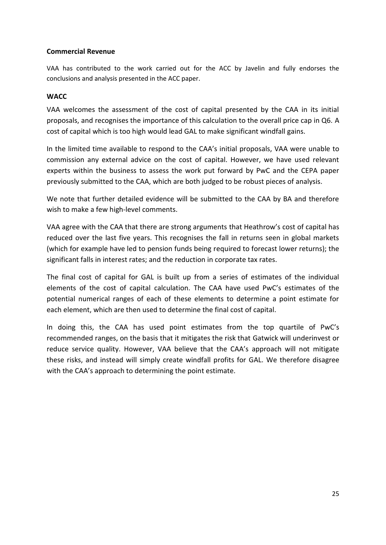#### **Commercial Revenue**

VAA has contributed to the work carried out for the ACC by Javelin and fully endorses the conclusions and analysis presented in the ACC paper.

#### <span id="page-24-0"></span>**WACC**

VAA welcomes the assessment of the cost of capital presented by the CAA in its initial proposals, and recognises the importance of this calculation to the overall price cap in Q6. A cost of capital which is too high would lead GAL to make significant windfall gains.

In the limited time available to respond to the CAA's initial proposals, VAA were unable to commission any external advice on the cost of capital. However, we have used relevant experts within the business to assess the work put forward by PwC and the CEPA paper previously submitted to the CAA, which are both judged to be robust pieces of analysis.

We note that further detailed evidence will be submitted to the CAA by BA and therefore wish to make a few high-level comments.

VAA agree with the CAA that there are strong arguments that Heathrow's cost of capital has reduced over the last five years. This recognises the fall in returns seen in global markets (which for example have led to pension funds being required to forecast lower returns); the significant falls in interest rates; and the reduction in corporate tax rates.

The final cost of capital for GAL is built up from a series of estimates of the individual elements of the cost of capital calculation. The CAA have used PwC's estimates of the potential numerical ranges of each of these elements to determine a point estimate for each element, which are then used to determine the final cost of capital.

In doing this, the CAA has used point estimates from the top quartile of PwC's recommended ranges, on the basis that it mitigates the risk that Gatwick will underinvest or reduce service quality. However, VAA believe that the CAA's approach will not mitigate these risks, and instead will simply create windfall profits for GAL. We therefore disagree with the CAA's approach to determining the point estimate.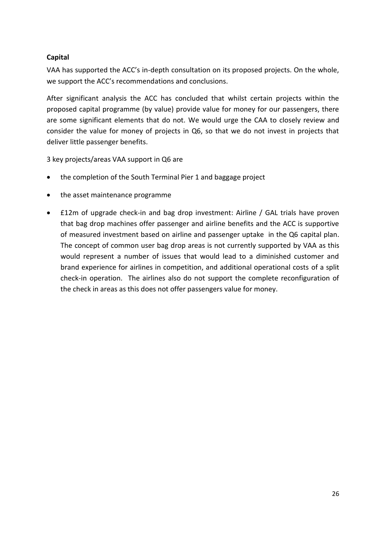## <span id="page-25-0"></span>**Capital**

VAA has supported the ACC's in-depth consultation on its proposed projects. On the whole, we support the ACC's recommendations and conclusions.

After significant analysis the ACC has concluded that whilst certain projects within the proposed capital programme (by value) provide value for money for our passengers, there are some significant elements that do not. We would urge the CAA to closely review and consider the value for money of projects in Q6, so that we do not invest in projects that deliver little passenger benefits.

3 key projects/areas VAA support in Q6 are

- the completion of the South Terminal Pier 1 and baggage project
- the asset maintenance programme
- £12m of upgrade check-in and bag drop investment: Airline / GAL trials have proven that bag drop machines offer passenger and airline benefits and the ACC is supportive of measured investment based on airline and passenger uptake in the Q6 capital plan. The concept of common user bag drop areas is not currently supported by VAA as this would represent a number of issues that would lead to a diminished customer and brand experience for airlines in competition, and additional operational costs of a split check-in operation. The airlines also do not support the complete reconfiguration of the check in areas as this does not offer passengers value for money.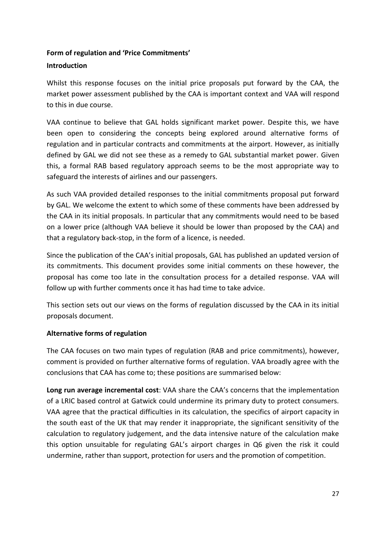## <span id="page-26-0"></span>**Form of regulation and 'Price Commitments'**

#### **Introduction**

Whilst this response focuses on the initial price proposals put forward by the CAA, the market power assessment published by the CAA is important context and VAA will respond to this in due course.

VAA continue to believe that GAL holds significant market power. Despite this, we have been open to considering the concepts being explored around alternative forms of regulation and in particular contracts and commitments at the airport. However, as initially defined by GAL we did not see these as a remedy to GAL substantial market power. Given this, a formal RAB based regulatory approach seems to be the most appropriate way to safeguard the interests of airlines and our passengers.

As such VAA provided detailed responses to the initial commitments proposal put forward by GAL. We welcome the extent to which some of these comments have been addressed by the CAA in its initial proposals. In particular that any commitments would need to be based on a lower price (although VAA believe it should be lower than proposed by the CAA) and that a regulatory back-stop, in the form of a licence, is needed.

Since the publication of the CAA's initial proposals, GAL has published an updated version of its commitments. This document provides some initial comments on these however, the proposal has come too late in the consultation process for a detailed response. VAA will follow up with further comments once it has had time to take advice.

This section sets out our views on the forms of regulation discussed by the CAA in its initial proposals document.

### **Alternative forms of regulation**

The CAA focuses on two main types of regulation (RAB and price commitments), however, comment is provided on further alternative forms of regulation. VAA broadly agree with the conclusions that CAA has come to; these positions are summarised below:

**Long run average incremental cost**: VAA share the CAA's concerns that the implementation of a LRIC based control at Gatwick could undermine its primary duty to protect consumers. VAA agree that the practical difficulties in its calculation, the specifics of airport capacity in the south east of the UK that may render it inappropriate, the significant sensitivity of the calculation to regulatory judgement, and the data intensive nature of the calculation make this option unsuitable for regulating GAL's airport charges in Q6 given the risk it could undermine, rather than support, protection for users and the promotion of competition.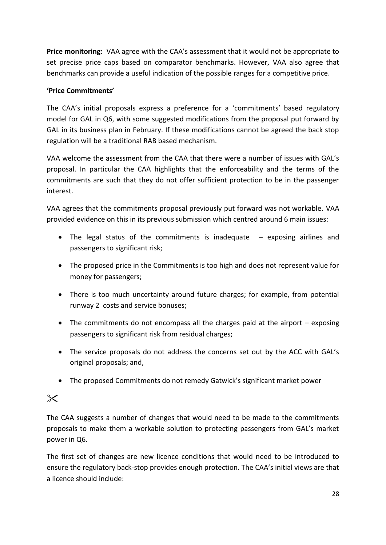**Price monitoring:** VAA agree with the CAA's assessment that it would not be appropriate to set precise price caps based on comparator benchmarks. However, VAA also agree that benchmarks can provide a useful indication of the possible ranges for a competitive price.

## **'Price Commitments'**

The CAA's initial proposals express a preference for a 'commitments' based regulatory model for GAL in Q6, with some suggested modifications from the proposal put forward by GAL in its business plan in February. If these modifications cannot be agreed the back stop regulation will be a traditional RAB based mechanism.

VAA welcome the assessment from the CAA that there were a number of issues with GAL's proposal. In particular the CAA highlights that the enforceability and the terms of the commitments are such that they do not offer sufficient protection to be in the passenger interest.

VAA agrees that the commitments proposal previously put forward was not workable. VAA provided evidence on this in its previous submission which centred around 6 main issues:

- The legal status of the commitments is inadequate  $-$  exposing airlines and passengers to significant risk;
- The proposed price in the Commitments is too high and does not represent value for money for passengers;
- There is too much uncertainty around future charges; for example, from potential runway 2 costs and service bonuses;
- The commitments do not encompass all the charges paid at the airport exposing passengers to significant risk from residual charges;
- The service proposals do not address the concerns set out by the ACC with GAL's original proposals; and,
- The proposed Commitments do not remedy Gatwick's significant market power

# $\times$

The CAA suggests a number of changes that would need to be made to the commitments proposals to make them a workable solution to protecting passengers from GAL's market power in Q6.

The first set of changes are new licence conditions that would need to be introduced to ensure the regulatory back-stop provides enough protection. The CAA's initial views are that a licence should include: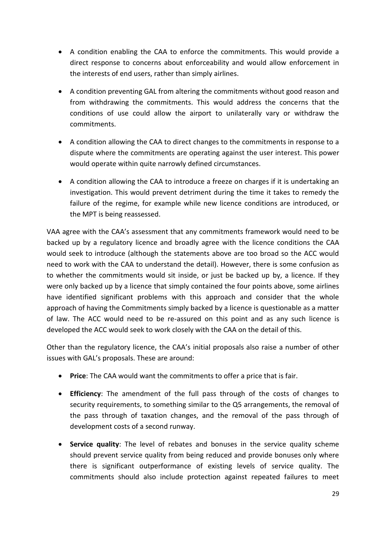- A condition enabling the CAA to enforce the commitments. This would provide a direct response to concerns about enforceability and would allow enforcement in the interests of end users, rather than simply airlines.
- A condition preventing GAL from altering the commitments without good reason and from withdrawing the commitments. This would address the concerns that the conditions of use could allow the airport to unilaterally vary or withdraw the commitments.
- A condition allowing the CAA to direct changes to the commitments in response to a dispute where the commitments are operating against the user interest. This power would operate within quite narrowly defined circumstances.
- A condition allowing the CAA to introduce a freeze on charges if it is undertaking an investigation. This would prevent detriment during the time it takes to remedy the failure of the regime, for example while new licence conditions are introduced, or the MPT is being reassessed.

VAA agree with the CAA's assessment that any commitments framework would need to be backed up by a regulatory licence and broadly agree with the licence conditions the CAA would seek to introduce (although the statements above are too broad so the ACC would need to work with the CAA to understand the detail). However, there is some confusion as to whether the commitments would sit inside, or just be backed up by, a licence. If they were only backed up by a licence that simply contained the four points above, some airlines have identified significant problems with this approach and consider that the whole approach of having the Commitments simply backed by a licence is questionable as a matter of law. The ACC would need to be re-assured on this point and as any such licence is developed the ACC would seek to work closely with the CAA on the detail of this.

Other than the regulatory licence, the CAA's initial proposals also raise a number of other issues with GAL's proposals. These are around:

- **Price**: The CAA would want the commitments to offer a price that is fair.
- **Efficiency**: The amendment of the full pass through of the costs of changes to security requirements, to something similar to the Q5 arrangements, the removal of the pass through of taxation changes, and the removal of the pass through of development costs of a second runway.
- **Service quality**: The level of rebates and bonuses in the service quality scheme should prevent service quality from being reduced and provide bonuses only where there is significant outperformance of existing levels of service quality. The commitments should also include protection against repeated failures to meet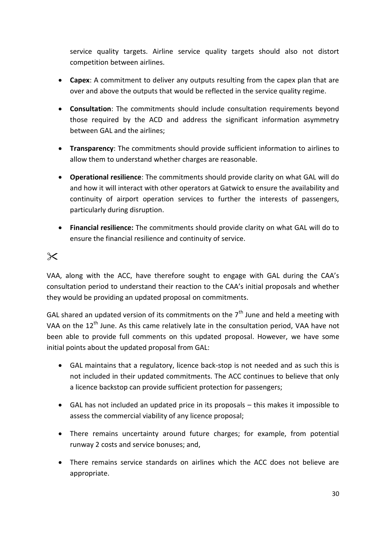service quality targets. Airline service quality targets should also not distort competition between airlines.

- **Capex**: A commitment to deliver any outputs resulting from the capex plan that are over and above the outputs that would be reflected in the service quality regime.
- **Consultation**: The commitments should include consultation requirements beyond those required by the ACD and address the significant information asymmetry between GAL and the airlines;
- **Transparency**: The commitments should provide sufficient information to airlines to allow them to understand whether charges are reasonable.
- **Operational resilience**: The commitments should provide clarity on what GAL will do and how it will interact with other operators at Gatwick to ensure the availability and continuity of airport operation services to further the interests of passengers, particularly during disruption.
- **Financial resilience:** The commitments should provide clarity on what GAL will do to ensure the financial resilience and continuity of service.

# $\times$

VAA, along with the ACC, have therefore sought to engage with GAL during the CAA's consultation period to understand their reaction to the CAA's initial proposals and whether they would be providing an updated proposal on commitments.

GAL shared an updated version of its commitments on the  $7<sup>th</sup>$  June and held a meeting with VAA on the 12<sup>th</sup> June. As this came relatively late in the consultation period, VAA have not been able to provide full comments on this updated proposal. However, we have some initial points about the updated proposal from GAL:

- GAL maintains that a regulatory, licence back-stop is not needed and as such this is not included in their updated commitments. The ACC continues to believe that only a licence backstop can provide sufficient protection for passengers;
- GAL has not included an updated price in its proposals this makes it impossible to assess the commercial viability of any licence proposal;
- There remains uncertainty around future charges; for example, from potential runway 2 costs and service bonuses; and,
- There remains service standards on airlines which the ACC does not believe are appropriate.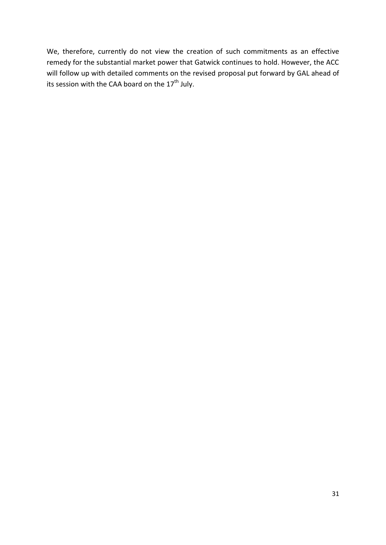We, therefore, currently do not view the creation of such commitments as an effective remedy for the substantial market power that Gatwick continues to hold. However, the ACC will follow up with detailed comments on the revised proposal put forward by GAL ahead of its session with the CAA board on the  $17^{\text{th}}$  July.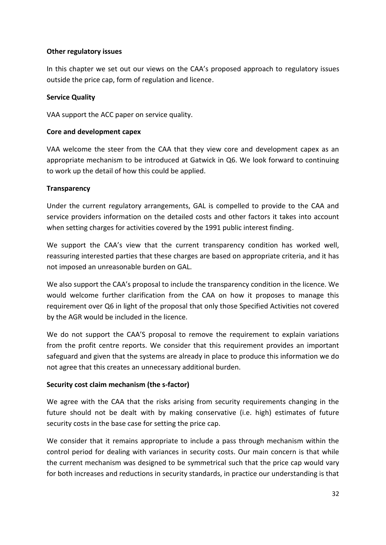### **Other regulatory issues**

In this chapter we set out our views on the CAA's proposed approach to regulatory issues outside the price cap, form of regulation and licence.

#### **Service Quality**

VAA support the ACC paper on service quality.

#### **Core and development capex**

VAA welcome the steer from the CAA that they view core and development capex as an appropriate mechanism to be introduced at Gatwick in Q6. We look forward to continuing to work up the detail of how this could be applied.

#### **Transparency**

Under the current regulatory arrangements, GAL is compelled to provide to the CAA and service providers information on the detailed costs and other factors it takes into account when setting charges for activities covered by the 1991 public interest finding.

We support the CAA's view that the current transparency condition has worked well, reassuring interested parties that these charges are based on appropriate criteria, and it has not imposed an unreasonable burden on GAL.

We also support the CAA's proposal to include the transparency condition in the licence. We would welcome further clarification from the CAA on how it proposes to manage this requirement over Q6 in light of the proposal that only those Specified Activities not covered by the AGR would be included in the licence.

We do not support the CAA'S proposal to remove the requirement to explain variations from the profit centre reports. We consider that this requirement provides an important safeguard and given that the systems are already in place to produce this information we do not agree that this creates an unnecessary additional burden.

### **Security cost claim mechanism (the s-factor)**

We agree with the CAA that the risks arising from security requirements changing in the future should not be dealt with by making conservative (i.e. high) estimates of future security costs in the base case for setting the price cap.

We consider that it remains appropriate to include a pass through mechanism within the control period for dealing with variances in security costs. Our main concern is that while the current mechanism was designed to be symmetrical such that the price cap would vary for both increases and reductions in security standards, in practice our understanding is that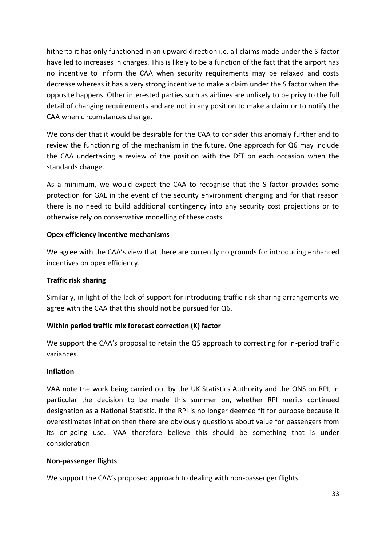hitherto it has only functioned in an upward direction i.e. all claims made under the S-factor have led to increases in charges. This is likely to be a function of the fact that the airport has no incentive to inform the CAA when security requirements may be relaxed and costs decrease whereas it has a very strong incentive to make a claim under the S factor when the opposite happens. Other interested parties such as airlines are unlikely to be privy to the full detail of changing requirements and are not in any position to make a claim or to notify the CAA when circumstances change.

We consider that it would be desirable for the CAA to consider this anomaly further and to review the functioning of the mechanism in the future. One approach for Q6 may include the CAA undertaking a review of the position with the DfT on each occasion when the standards change.

As a minimum, we would expect the CAA to recognise that the S factor provides some protection for GAL in the event of the security environment changing and for that reason there is no need to build additional contingency into any security cost projections or to otherwise rely on conservative modelling of these costs.

### **Opex efficiency incentive mechanisms**

We agree with the CAA's view that there are currently no grounds for introducing enhanced incentives on opex efficiency.

### **Traffic risk sharing**

Similarly, in light of the lack of support for introducing traffic risk sharing arrangements we agree with the CAA that this should not be pursued for Q6.

## **Within period traffic mix forecast correction (K) factor**

We support the CAA's proposal to retain the Q5 approach to correcting for in-period traffic variances.

### **Inflation**

VAA note the work being carried out by the UK Statistics Authority and the ONS on RPI, in particular the decision to be made this summer on, whether RPI merits continued designation as a National Statistic. If the RPI is no longer deemed fit for purpose because it overestimates inflation then there are obviously questions about value for passengers from its on-going use. VAA therefore believe this should be something that is under consideration.

### **Non-passenger flights**

We support the CAA's proposed approach to dealing with non-passenger flights.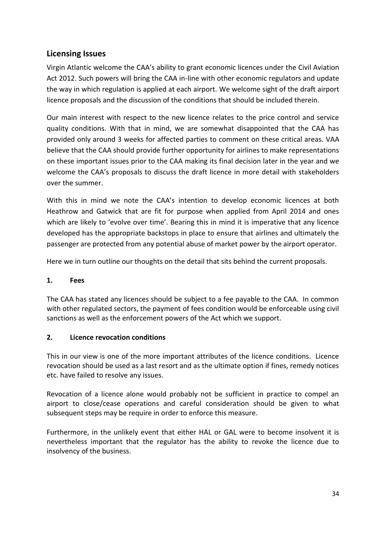## <span id="page-33-0"></span>**Licensing Issues**

Virgin Atlantic welcome the CAA's ability to grant economic licences under the Civil Aviation Act 2012. Such powers will bring the CAA in-line with other economic regulators and update the way in which regulation is applied at each airport. We welcome sight of the draft airport licence proposals and the discussion of the conditions that should be included therein.

Our main interest with respect to the new licence relates to the price control and service quality conditions. With that in mind, we are somewhat disappointed that the CAA has provided only around 3 weeks for affected parties to comment on these critical areas. VAA believe that the CAA should provide further opportunity for airlines to make representations on these important issues prior to the CAA making its final decision later in the year and we welcome the CAA's proposals to discuss the draft licence in more detail with stakeholders over the summer.

With this in mind we note the CAA's intention to develop economic licences at both Heathrow and Gatwick that are fit for purpose when applied from April 2014 and ones which are likely to 'evolve over time'. Bearing this in mind it is imperative that any licence developed has the appropriate backstops in place to ensure that airlines and ultimately the passenger are protected from any potential abuse of market power by the airport operator.

Here we in turn outline our thoughts on the detail that sits behind the current proposals.

### **1. Fees**

The CAA has stated any licences should be subject to a fee payable to the CAA. In common with other regulated sectors, the payment of fees condition would be enforceable using civil sanctions as well as the enforcement powers of the Act which we support.

### **2. Licence revocation conditions**

This in our view is one of the more important attributes of the licence conditions. Licence revocation should be used as a last resort and as the ultimate option if fines, remedy notices etc. have failed to resolve any issues.

Revocation of a licence alone would probably not be sufficient in practice to compel an airport to close/cease operations and careful consideration should be given to what subsequent steps may be require in order to enforce this measure.

Furthermore, in the unlikely event that either HAL or GAL were to become insolvent it is nevertheless important that the regulator has the ability to revoke the licence due to insolvency of the business.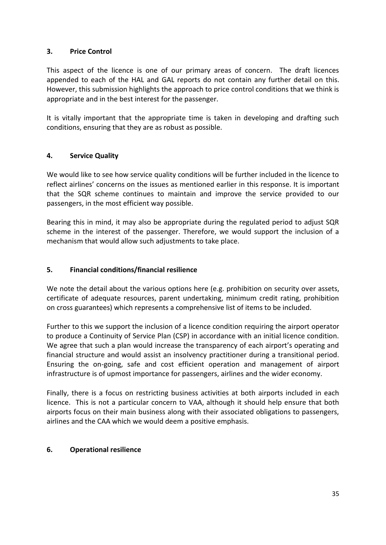### **3. Price Control**

This aspect of the licence is one of our primary areas of concern. The draft licences appended to each of the HAL and GAL reports do not contain any further detail on this. However, this submission highlights the approach to price control conditions that we think is appropriate and in the best interest for the passenger.

It is vitally important that the appropriate time is taken in developing and drafting such conditions, ensuring that they are as robust as possible.

#### **4. Service Quality**

We would like to see how service quality conditions will be further included in the licence to reflect airlines' concerns on the issues as mentioned earlier in this response. It is important that the SQR scheme continues to maintain and improve the service provided to our passengers, in the most efficient way possible.

Bearing this in mind, it may also be appropriate during the regulated period to adjust SQR scheme in the interest of the passenger. Therefore, we would support the inclusion of a mechanism that would allow such adjustments to take place.

#### **5. Financial conditions/financial resilience**

We note the detail about the various options here (e.g. prohibition on security over assets, certificate of adequate resources, parent undertaking, minimum credit rating, prohibition on cross guarantees) which represents a comprehensive list of items to be included.

Further to this we support the inclusion of a licence condition requiring the airport operator to produce a Continuity of Service Plan (CSP) in accordance with an initial licence condition. We agree that such a plan would increase the transparency of each airport's operating and financial structure and would assist an insolvency practitioner during a transitional period. Ensuring the on-going, safe and cost efficient operation and management of airport infrastructure is of upmost importance for passengers, airlines and the wider economy.

Finally, there is a focus on restricting business activities at both airports included in each licence. This is not a particular concern to VAA, although it should help ensure that both airports focus on their main business along with their associated obligations to passengers, airlines and the CAA which we would deem a positive emphasis.

#### **6. Operational resilience**